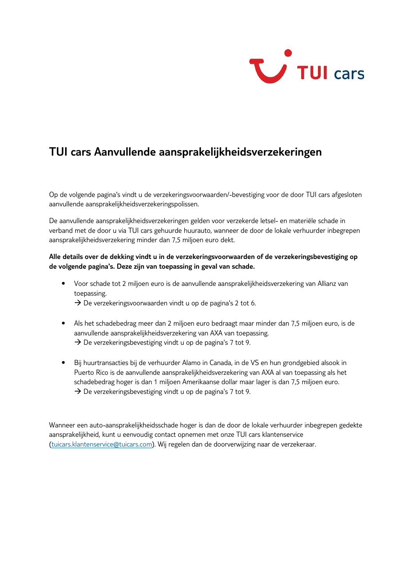

# **TUI cars Aanvullende aansprakelijkheidsverzekeringen**

Op de volgende pagina's vindt u de verzekeringsvoorwaarden/-bevestiging voor de door TUI cars afgesloten aanvullende aansprakelijkheidsverzekeringspolissen.

De aanvullende aansprakelijkheidsverzekeringen gelden voor verzekerde letsel- en materiële schade in verband met de door u via TUI cars gehuurde huurauto, wanneer de door de lokale verhuurder inbegrepen aansprakelijkheidsverzekering minder dan 7,5 miljoen euro dekt.

### **Alle details over de dekking vindt u in de verzekeringsvoorwaarden of de verzekeringsbevestiging op de volgende pagina's. Deze zijn van toepassing in geval van schade.**

- Voor schade tot 2 miljoen euro is de aanvullende aansprakelijkheidsverzekering van Allianz van toepassing.
	- $\rightarrow$  De verzekeringsvoorwaarden vindt u op de pagina's 2 tot 6.
- Als het schadebedrag meer dan 2 miljoen euro bedraagt maar minder dan 7,5 miljoen euro, is de aanvullende aansprakelijkheidsverzekering van AXA van toepassing.  $\rightarrow$  De verzekeringsbevestiging vindt u op de pagina's 7 tot 9.
- Bij huurtransacties bij de verhuurder Alamo in Canada, in de VS en hun grondgebied alsook in Puerto Rico is de aanvullende aansprakelijkheidsverzekering van AXA al van toepassing als het schadebedrag hoger is dan 1 miljoen Amerikaanse dollar maar lager is dan 7,5 miljoen euro.  $\rightarrow$  De verzekeringsbevestiging vindt u op de pagina's 7 tot 9.

Wanneer een auto-aansprakelijkheidsschade hoger is dan de door de lokale verhuurder inbegrepen gedekte aansprakelijkheid, kunt u eenvoudig contact opnemen met onze TUI cars klantenservice (tuicars.klantenservice@tuicars.com). Wij regelen dan de doorverwijzing naar de verzekeraar.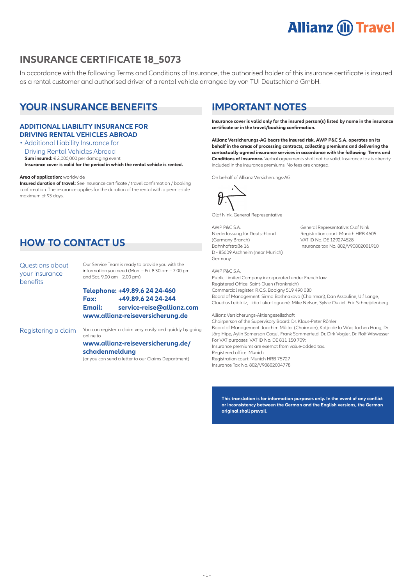# **Allianz (ii) Travel**

## **INSURANCE CERTIFICATE 18\_5073**

In accordance with the following Terms and Conditions of Insurance, the authorised holder of this insurance certificate is insured as a rental customer and authorised driver of a rental vehicle arranged by von TUI Deutschland GmbH.

# **YOUR INSURANCE BENEFITS**

### **ADDITIONAL LIABILITY INSURANCE FOR DRIVING RENTAL VEHICLES ABROAD**

• Additional Liability Insurance for Driving Rental Vehicles Abroad **Sum insured:** € 2,000,000 per damaging event **Insurance cover is valid for the period in which the rental vehicle is rented.**

**Area of application:** worldwide

**Insured duration of travel:** See insurance certificate / travel confirmation / booking confirmation. The insurance applies for the duration of the rental with a permissible maximum of 93 days.

# **HOW TO CONTACT US**

Questions about your insurance benefits

Our Service Team is ready to provide you with the information you need (Mon. – Fri. 8.30 am – 7.00 pm and Sat. 9.00 am – 2.00 pm):

### **Telephone: +49.89.6 24 24-460 Fax: +49.89.6 24 24-244 Email: service-reise@allianz.com www.allianz-reiseversicherung.de**

Registering a claim You can register a claim very easily and quickly by going online to

### **www.allianz-reiseversicherung.de/ schadenmeldung**

(or you can send a letter to our Claims Department)

# **IMPORTANT NOTES**

**Insurance cover is valid only for the insured person(s) listed by name in the insurance certificate or in the travel/booking confirmation.** 

**Allianz Versicherungs-AG bears the insured risk. AWP P&C S.A. operates on its behalf in the areas of processing contracts, collecting premiums and delivering the contactually agreed insurance services in accordance with the following Terms and Conditions of Insurance.** Verbal agreements shall not be valid. Insurance tax is already included in the insurance premiums. No fees are charged.

On behalf of Allianz Versicherungs-AG



Olaf Nink, General Representative

AWP P&C S.A. General Representative: Olaf Nink (Germany Branch) VAT ID No. DE 129274528 D - 85609 Aschheim (near Munich) Germany

Niederlassung für Deutschland Registration court: Munich HRB 4605<br>
(Germany Branch) VAT ID No. DE 129274528 Insurance tax No. 802/V90802001910

#### AWP P&C S.A.

Public Limited Company incorporated under French law Registered Office: Saint-Ouen (Frankreich) Commercial register: R.C.S. Bobigny 519 490 080 Board of Management: Sirma Boshnakova (Chairman), Dan Assouline, Ulf Lange, Claudius Leibfritz, Lidia Luka-Lognoné, Mike Nelson, Sylvie Ouziel, Eric Schneijdenberg

### Allianz Versicherungs-Aktiengesellschaft

Chairperson of the Supervisory Board: Dr. Klaus-Peter Röhler Board of Management: Joachim Müller (Chairman), Katja de la Viña, Jochen Haug, Dr. Jörg Hipp, Aylin Somersan Coqui, Frank Sommerfeld, Dr. Dirk Vogler, Dr. Rolf Wiswesser For VAT purposes: VAT ID No. DE 811 150 709; Insurance premiums are exempt from value-added tax. Registered office: Munich Registration court: Munich HRB 75727 Insurance Tax No. 802/V90802004778

**This translation is for information purposes only. In the event of any conflict or inconsistency between the German and the English versions, the German original shall prevail.**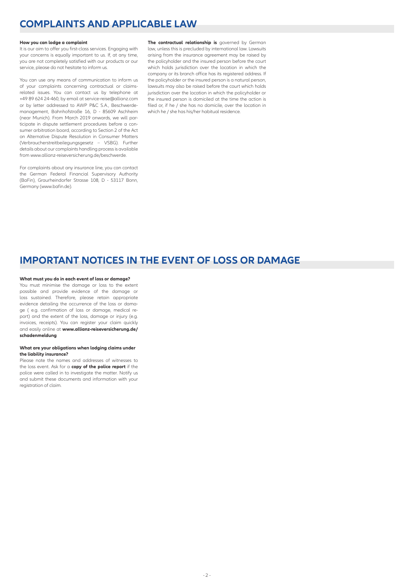# **COMPLAINTS AND APPLICABLE LAW**

#### **How you can lodge a complaint**

It is our aim to offer you first-class services. Engaging with your concerns is equally important to us. If, at any time, you are not completely satisfied with our products or our service, please do not hesitate to inform us.

You can use any means of communication to inform us of your complaints concerning contractual or claimsrelated issues. You can contact us by telephone at +49 89 624 24-460, by email at service-reise@allianz.com or by letter addressed to AWP P&C S.A., Beschwerdemanagement, Bahnhofstraße 16, D - 85609 Aschheim (near Munich). From March 2019 onwards, we will participate in dispute settlement procedures before a consumer arbitration board, according to Section 2 of the Act on Alternative Dispute Resolution in Consumer Matters (Verbraucherstreitbeilegungsgesetz – VSBG). Further details about our complaints handling process is available from www.allianz-reiseversicherung.de/beschwerde.

For complaints about any insurance line, you can contact the German Federal Financial Supervisory Authority (BaFin), Graurheindorfer Strasse 108, D - 53117 Bonn, Germany (www.bafin.de).

**The contractual relationship is** governed by German law, unless this is precluded by international law. Lawsuits arising from the insurance agreement may be raised by the policyholder and the insured person before the court which holds jurisdiction over the location in which the company or its branch office has its registered address. If the policyholder or the insured person is a natural person, lawsuits may also be raised before the court which holds jurisdiction over the location in which the policyholder or the insured person is domiciled at the time the action is filed or, if he / she has no domicile, over the location in which he / she has his/her habitual residence.

### **IMPORTANT NOTICES IN THE EVENT OF LOSS OR DAMAGE**

#### **What must you do in each event of loss or damage?**

You must minimise the damage or loss to the extent possible and provide evidence of the damage or loss sustained. Therefore, please retain appropriate evidence detailing the occurrence of the loss or damage ( e.g. confirmation of loss or damage, medical report) and the extent of the loss, damage or injury (e.g. invoices, receipts). You can register your claim quickly and easily online at **www.allianz-reiseversicherung.de/ schadenmeldung**

#### **What are your obligations when lodging claims under the liability insurance?**

Please note the names and addresses of witnesses to the loss event. Ask for a **copy of the police report** if the police were called in to investigate the matter. Notify us and submit these documents and information with your registration of claim.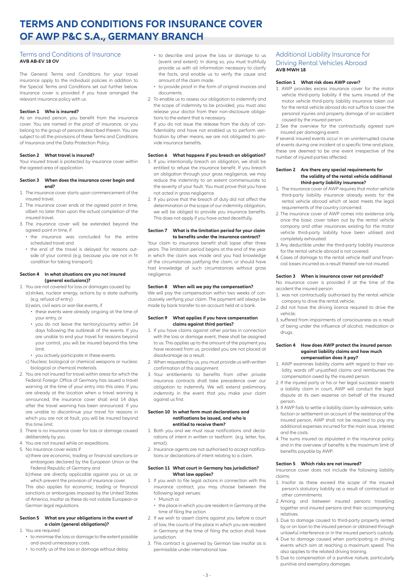# **TERMS AND CONDITIONS FOR INSURANCE COVER OF AWP P&C S.A., GERMANY BRANCH**

### Terms and Conditions of Insurance **AVB AB-EV 18 OV**

The General Terms and Conditions for your travel insurance apply to the individual policies in addition to the Special Terms and Conditions set out further below. Insurance cover is provided if you have arranged the relevant insurance policy with us.

#### **Section 1 Who is insured?**

As an insured person, you benefit from the insurance cover. You are named in the proof of insurance, or you belong to the group of persons described therein. You are subject to all the provisions of these Terms and Conditions of Insurance and the Data Protection Policy.

#### **Section 2 What travel is insured?**

Your insured travel is protected by insurance cover within the agreed area of application.

#### **Section 3 When does the insurance cover begin and end?**

- 1. The insurance cover starts upon commencement of the insured travel.
- 2. The insurance cover ends at the agreed point in time, albeit no later than upon the actual completion of the insured travel.
- 3. The insurance cover will be extended beyond the agreed point in time, if
	- the insurance was concluded for the entire scheduled travel and
	- the end of the travel is delayed for reasons outside of your control (e.g. because you are not in fit condition for taking transport).

#### **Section 4 In what situations are you not insured (general exclusions)?**

#### 1. You are not covered for loss or damages caused by: a) strikes, nuclear energy, actions by a state authority (e.g. refusal of entry)

- b) wars, civil wars or war-like events, if
	- these events were already ongoing at the time of your entry, or
	- you do not leave the territory/country within 14 days following the outbreak of the events. If you are unable to end your travel for reasons beyond your control, you will be insured beyond this time limit.
- you actively participate in these events.
- c) Nuclear, biological or chemical weapons or nuclear, biological or chemical materials.
- 2. You are not insured for travel within areas for which the Federal Foreign Office of Germany has issued a travel warning at the time of your entry into this area. If you are already at the location when a travel warning is announced, the insurance cover shall end 14 days after the travel warning has been announced. If you are unable to discontinue your travel for reasons in which you are not at fault, you will be insured beyond this time limit.
- 3. There is no insurance cover for loss or damage caused deliberately by you.
- 4. You are not insured while on expeditions.
- 5. No insurance cover exists if
	- a) there are economic, trading or financial sanctions or embargoes declared by the European Union or the Federal Republic of Germany and
	- b) these are directly applicable against you or us, or which prevent the provision of insurance cover.

This also applies for economic, trading or financial sanctions or embargoes imposed by the United States of America, insofar as these do not violate European or German legal regulations.

#### **Section 5 What are your obligations in the event of a claim (general obligations)?**

- 1. You are required
	- to minimise the loss or damage to the extent possible and avoid unnecessary costs.
	- to notify us of the loss or damage without delay.
- to describe and prove the loss or damage to us (event and extent). In doing so, you must truthfully provide us with all information necessary to clarify the facts, and enable us to verify the cause and amount of the claim made.
- to provide proof in the form of original invoices and documents.
- 2. To enable us to assess our obligation to indemnify and the scope of indemnity to be provided, you must also release your doctor from their non-disclosure obligations to the extent that is necessary.

If you do not issue the release from the duty of confidentiality and have not enabled us to perform verification by other means, we are not obligated to provide insurance benefits.

#### **Section 6 What happens if you breach an obligation?**

- 1. If you intentionally breach an obligation, we shall be entitled to refuse the insurance benefit. If you breach an obligation through your gross negligence, we may reduce the indemnity to an extent commensurate to the severity of your fault. You must prove that you have not acted in gross negligence.
- 2. If you prove that the breach of duty did not affect the determination or the scope of our indemnity obligation, we will be obliged to provide you insurance benefits. This does not apply if you have acted deceitfully.

#### **Section 7 What is the limitation period for your claim to benefits under the insurance contract?**

Your claim to insurance benefit shall lapse after three years. The limitation period begins at the end of the year in which the claim was made and you had knowledge of the circumstances justifying the claim, or should have had knowledge of such circumstances without gross negligence.

#### **Section 8 When will we pay the compensation?**

We will pay the compensation within two weeks of conclusively verifying your claim. The payment will always be made by bank transfer to an account held at a bank.

#### **Section 9 What applies if you have compensation claims against third parties?**

- 1. If you have claims against other parties in connection with the loss or damage event, these shall be assigned to us. This applies up to the amount of the payment you have received from us, provided you are not placed at disadvantage as a result.
- 2. When requested by us, you must provide us with written confirmation of this assignment.
- 3. Your entitlements to benefits from other private insurance contracts shall take precedence over our obligation to indemnify. We will extend preliminary indemnity in the event that you make your claim against us first.

#### **Section 10 In what form must declarations and notifications be issued, and who is entitled to receive them?**

- 1. Both you and we must issue notifications and declarations of intent in written or textform (e.g. letter, fax, email).
- 2. Insurance agents are not authorised to accept notifications or declarations of intent relating to a claim.

#### **Section 11 What court in Germany has jurisdiction? What law applies?**

- 1. If you wish to file legal actions in connection with this insurance contract, you may choose between the following legal venues: • Munich or
	-
	- the place in which you are resident in Germany at the time of filing the action
- 2. If we wish to assert claims against you before a court of law, the courts of the place in which you are resident in Germany at the time of filing the action shall have jurisdiction.
- 3. This contract is governed by German law insofar as is permissible under international law.

### Additional Liability Insurance for Driving Rental Vehicles Abroad **AVB MWH 18**

#### **Section 1 What risk does AWP cover?**

- 1. AWP provides excess insurance cover for the motor vehicle third-party liability if the sums insured of the motor vehicle third-party liability insurance taken out for the rental vehicle abroad do not suffice to cover the personal injuries and property damage of an accident caused by the insured person.
- 2. See the overview for the contractually agreed sum insured per damaging event.

If several insured events occur in an uninterrupted course of events during one incident at a specific time and place, these are deemed to be one event irrespective of the number of injured parties affected.

#### **Section 2 Are there any special requirements for the validity of the rental vehicle additional third-party liability insurance?**

- 1. The insurance cover of AWP requires that motor vehicle third-party liability insurance already exists for the rental vehicle abroad which at least meets the legal requirements of the country concerned.
- 2. The insurance cover of AWP comes into existence only once the basic cover taken out by the rental vehicle company and other insurances existing for the motor vehicle third-party liability have been utilised and completely exhausted.
- 3. Any deductible under the third-party liability insurance for the rental vehicle abroad is not covered.
- 4. Cases of damage to the rental vehicle itself and financial losses incurred as a result thereof are not insured.

#### **Section 3 When is insurance cover not provided?**

No insurance cover is provided if at the time of the accident the insured person

- 1. was not contractually authorised by the rental vehicle company to drive the rental vehicle;
- 2. did not have the driving licence required to drive the vehicle;
- 3. suffered from impairments of consciousness as a result of being under the influence of alcohol, medication or drugs.

#### **Section 4 How does AWP protect the insured person against liability claims and how much compensation does it pay?**

- 1. AWP examines liability claims with regard to their validity, wards off unjustified claims and reimburses the compensation owed by the insured person.
- 2. If the injured party or his or her legal successor asserts a liability claim in court, AWP will conduct the legal dispute at its own expense on behalf of the insured person.
- 3. If AWP fails to settle a liability claim by admission, satisfaction or settlement on account of the resistance of the insured person, AWP shall not be required to pay any additional expenses incurred for the main issue, interest and the costs.
- 4. The sums insured as stipulated in the insurance policy and in the overview of benefits is the maximum limit of benefits payable by AWP.

#### **Section 5 Which risks are not insured?**

Insurance cover does not include the following liability claims:

- 1. Insofar as these exceed the scope of the insured person's statutory liability as a result of contractual or other commitments.
- 2. Among and between insured persons travelling together and insured persons and their accompanying relatives.
- 3. Due to damage caused to third-party property rented by or on loan to the insured person or obtained through unlawful interference or in the insured person's custody.
- 4. Due to damage caused when participating in driving events which aim at reaching a maximum speed. This also applies to the related driving training.
- 5. Due to compensation of a punitive nature, particularly punitive and exemplary damages.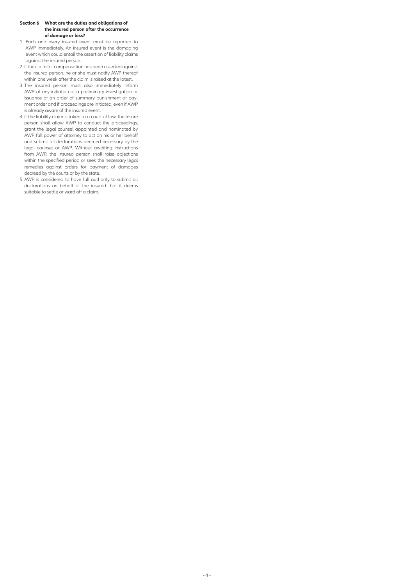#### **Section 6 What are the duties and obligations of the insured person after the occurrence of damage or loss?**

- 1. Each and every insured event must be reported to AWP immediately. An insured event is the damaging event which could entail the assertion of liability claims against the insured person.
- 2. If the claim for compensation has been asserted against the insured person, he or she must notify AWP thereof within one week after the claim is raised at the latest.
- 3. The insured person must also immediately inform AWP of any initiation of a preliminary investigation or issuance of an order of summary punishment or payment order and if proceedings are initiated, even if AWP is already aware of the insured event.
- 4. If the liability claim is taken to a court of law, the insure person shall allow AWP to conduct the proceedings, grant the legal counsel appointed and nominated by AWP full power of attorney to act on his or her behalf and submit all declarations deemed necessary by the legal counsel or AWP. Without awaiting instructions from AWP, the insured person shall raise objections within the specified period or seek the necessary legal remedies against orders for payment of damages decreed by the courts or by the state.
- 5. AWP is considered to have full authority to submit all declarations on behalf of the insured that it deems suitable to settle or ward off a claim.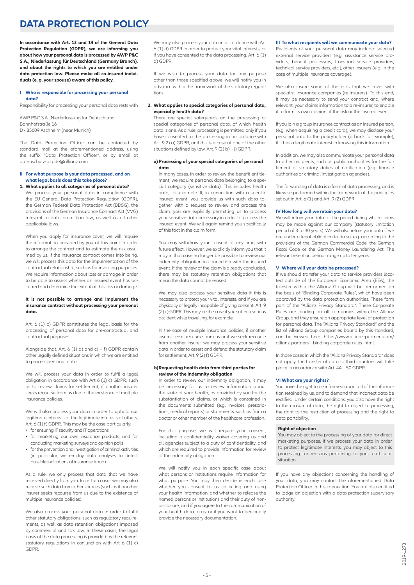# **DATA PROTECTION POLICY**

**In accordance with Art. 13 and 14 of the General Data Protection Regulation (GDPR), we are informing you about how your personal data is processed by AWP P&C S.A., Niederlassung für Deutschland (Germany Branch), and about the rights to which you are entitled under data protection law. Please make all co-insured individuals (e. g. your spouse) aware of this policy.**

#### **I Who is responsible for processing your personal data?**

Responsibility for processing your personal data rests with

AWP P&C S.A., Niederlassung für Deutschland Bahnhofstraße 16 D - 85609 Aschheim (near Munich).

The Data Protection Officer can be contacted by standard mail at the aforementioned address, using the suffix "Data Protection Officer", or by email at datenschutz-azpde@allianz.com.

#### **II For what purpose is your data processed, and on what legal basis does this take place?**

### **1. What applies to all categories of personal data?**

We process your personal data in compliance with the EU General Data Protection Regulation (GDPR), the German Federal Data Protection Act (BDSG), the provisions of the German Insurance Contract Act (VVG) relevant to data protection law, as well as all other applicable laws.

When you apply for insurance cover, we will require the information provided by you at this point in order to arrange the contract and to estimate the risk assumed by us. If the insurance contract comes into being, we will process this data for the implementation of the contractual relationship, such as for invoicing purposes. We require information about loss or damage in order to be able to assess whether an insured event has occurred and determine the extent of this loss or damage.

#### **It is not possible to arrange and implement the insurance contract without processing your personal data.**

Art. 6 (1) b) GDPR constitutes the legal basis for the processing of personal data for pre-contractual and contractual purposes.

Alongside that, Art. 6 (1) a) and  $c$ ) – f) GDPR contain other legally defined situations in which we are entitled to process personal data.

We will process your data in order to fulfil a legal obligation in accordance with Art 6 (1) c) GDPR, such as to review claims for settlement, if another insurer seeks recourse from us due to the existence of multiple insurance policies.

We will also process your data in order to uphold our legitimate interests or the legitimate interests of others, Art. 6 (1) f) GDPR. This may be the case particularly:

- for ensuring IT security and IT operations
- for marketing our own insurance products, and for conducting marketing surveys and opinion polls
- for the prevention and investigation of criminal activities (in particular, we employ data analyses to detect possible indications of insurance fraud).

As a rule, we only process that data that we have received directly from you. In certain cases we may also receive such data from other sources (such as if another insurer seeks recourse from us due to the existence of multiple insurance policies).

We also process your personal data in order to fulfil other statutory obligations, such as regulatory requirements, as well as data retention obligations imposed by commercial and tax law. In these cases, the legal basis of the data processing is provided by the relevant statutory regulations in conjunction with Art 6 (1) c) GDPR.

We may also process your data in accordance with Art 6 (1) d) GDPR in order to protect your vital interests, or if you have consented to the data processing, Art. 6 (1) a) GDPR.

If we wish to process your data for any purpose other than those specified above, we will notify you in advance within the framework of the statutory regulations.

#### **2. What applies to special categories of personal data, especially health data?**

There are special safeguards on the processing of special categories of personal data, of which health data is one. As a rule, processing is permitted only if you have consented to the processing in accordance with Art. 9 2) a) GDPR, or if this is a case of one of the other situations defined by law, Art. 9 (2) b) – j) GDPR.

#### **a) Processing of your special categories of personal data**

In many cases, in order to review the benefit entitlement, we require personal data belonging to a special category (sensitive data). This includes health data, for example. If, in connection with a specific insured event, you provide us with such data together with a request to review and process the claim, you are explicitly permitting us to process your sensitive data necessary in order to process the insured event. We will again remind you specifically of this fact in the claim form.

You may withdraw your consent at any time, with future effect. However, we explicitly inform you that it may in that case no longer be possible to review our indemnity obligation in connection with the insured event. If the review of the claim is already concluded there may be statutory retention obligations that mean the data cannot be erased.

We may also process your sensitive data if this is necessary to protect your vital interests, and if you are physically or legally incapable of giving consent, Art. 9 (2) c) GDPR. This may be the case if you suffer a serious accident while travelling, for example.

In the case of multiple insurance policies, if another insurer seeks recourse from us or if we seek recourse from another insurer, we may process your sensitive data in order to assert and defend the statutory claim for settlement, Art. 9 (2) f) GDPR.

#### **b) Requesting health data from third parties for review of the indemnity obligation**

In order to review our indemnity obligation, it may be necessary for us to review information about the state of your health, as provided by you for the substantiation of claims, or which is contained in the documents submitted (e.g. invoices, prescriptions, medical reports) or statements, such as from a doctor or other member of the healthcare profession.

For this purpose, we will require your consent, including a confidentiality waiver covering us and all agencies subject to a duty of confidentiality, and which are required to provide information for review of the indemnity obligation.

We will notify you in each specific case about what persons or institutions require information for what purpose. You may then decide in each case whether you consent to us collecting and using your health information, and whether to release the named persons or institutions and their duty of nondisclosure, and if you agree to the communication of your health data to us, or if you want to personally provide the necessary documentation.

#### **III To what recipients will we communicate your data?**

Recipients of your personal data may include: selected external service providers (e.g. assistance service providers, benefit processors, transport service providers, technical service providers, etc.), other insurers (e.g. in the case of multiple insurance coverage).

We also insure some of the risks that we cover with specialist insurance companies (re-insurers). To this end, it may be necessary to send your contract and, where relevant, your claims information to a re-insurer, to enable it to form its own opinion of the risk or the insured event.

If you join a group insurance contract as an insured person, (e.g. when acquiring a credit card), we may disclose your personal data to the policyholder (a bank for example), if it has a legitimate interest in knowing this information.

In addition, we may also communicate your personal data to other recipients, such as public authorities for the fulfilment of statutory duties of notification (e.g. finance authorities or criminal investigation agencies).

The forwarding of data is a form of data processing, and is likewise performed within the framework of the principles set out in Art. 6 (1) and Art. 9 (2) GDPR.

#### **IV How long will we retain your data?**

We will retain your data for the period during which claims may be made against our company (statutory limitation period of 3 to 30 years). We will also retain your data if we are under a legal obligation to do so, e.g. according to the provisions of the German Commercial Code, the German Fiscal Code or the German Money Laundering Act. The relevant retention periods range up to ten years.

#### **V Where will your data be processed?**

If we should transfer your data to service providers located outside of the European Economic Area (EEA), the transfer within the Allianz Group will be performed on the basis of "Binding Corporate Rules", which have been approved by the data protection authorities. These form part of the "Allianz Privacy Standard". These Corporate Rules are binding on all companies within the Allianz Group, and they ensure an appropriate level of protection for personal data. The "Allianz Privacy Standard" and the list of Allianz Group companies bound by this standard, can be viewed here: https://www.allianz-partners.com/ allianz-partners---binding-corporate-rules-.html.

In those cases in which the "Allianz Privacy Standard" does not apply, the transfer of data to third countries will take place in accordance with Art. 44 – 50 GDPR.

#### **VI What are your rights?**

You have the right to be informed about all of the information retained by us, and to demand that incorrect data be rectified. Under certain conditions, you also have the right to the erasure of data, the right to object to processing, the right to the restriction of processing and the right to data portability.

#### **Right of objection**

You may object to the processing of your data for direct marketing purposes. If we process your data in order to protect legitimate interests, you may object to this processing for reasons pertaining to your particular situation.

If you have any objections concerning the handling of your data, you may contact the aforementioned Data Protection Officer in this connection. You are also entitled to lodge an objection with a data protection supervisory authority.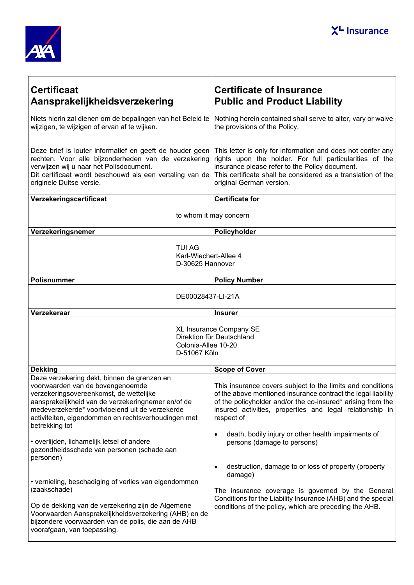



| <b>Certificaat</b><br>Aansprakelijkheidsverzekering                                                                                                                                                                                                                                                          | <b>Certificate of Insurance</b><br><b>Public and Product Liability</b>                                                                                                                                                                                               |  |
|--------------------------------------------------------------------------------------------------------------------------------------------------------------------------------------------------------------------------------------------------------------------------------------------------------------|----------------------------------------------------------------------------------------------------------------------------------------------------------------------------------------------------------------------------------------------------------------------|--|
| Niets hierin zal dienen om de bepalingen van het Beleid te<br>wijzigen, te wijzigen of ervan af te wijken.                                                                                                                                                                                                   | Nothing herein contained shall serve to alter, vary or waive<br>the provisions of the Policy.                                                                                                                                                                        |  |
| Deze brief is louter informatief en geeft de houder geen<br>rechten. Voor alle bijzonderheden van de verzekering<br>verwijzen wij u naar het Polisdocument.<br>Dit certificaat wordt beschouwd als een vertaling van de<br>originele Duitse versie.                                                          | This letter is only for information and does not confer any<br>rights upon the holder. For full particularities of the<br>insurance please refer to the Policy document.<br>This certificate shall be considered as a translation of the<br>original German version. |  |
| Verzekeringscertificaat                                                                                                                                                                                                                                                                                      | <b>Certificate for</b>                                                                                                                                                                                                                                               |  |
| to whom it may concern                                                                                                                                                                                                                                                                                       |                                                                                                                                                                                                                                                                      |  |
| Verzekeringsnemer                                                                                                                                                                                                                                                                                            | Policyholder                                                                                                                                                                                                                                                         |  |
| <b>TUI AG</b><br>Karl-Wiechert-Allee 4<br>D-30625 Hannover                                                                                                                                                                                                                                                   |                                                                                                                                                                                                                                                                      |  |
| <b>Polisnummer</b>                                                                                                                                                                                                                                                                                           | <b>Policy Number</b>                                                                                                                                                                                                                                                 |  |
| DE00028437-LI-21A                                                                                                                                                                                                                                                                                            |                                                                                                                                                                                                                                                                      |  |
| Verzekeraar                                                                                                                                                                                                                                                                                                  | <b>Insurer</b>                                                                                                                                                                                                                                                       |  |
| XL Insurance Company SE<br>Direktion für Deutschland<br>Colonia-Allee 10-20<br>D-51067 Köln                                                                                                                                                                                                                  |                                                                                                                                                                                                                                                                      |  |
| <b>Dekking</b>                                                                                                                                                                                                                                                                                               | <b>Scope of Cover</b>                                                                                                                                                                                                                                                |  |
| Deze verzekering dekt, binnen de grenzen en<br>voorwaarden van de bovengenoemde<br>verzekeringsovereenkomst, de wettelijke<br>aansprakelijkheid van de verzekeringnemer en/of de<br>medeverzekerde* voortvloeiend uit de verzekerde<br>activiteiten, eigendommen en rechtsverhoudingen met<br>betrekking tot | This insurance covers subject to the limits and conditions<br>of the above mentioned insurance contract the legal liability<br>of the policyholder and/or the co-insured* arising from the<br>insured activities, properties and legal relationship in<br>respect of |  |
| • overlijden, lichamelijk letsel of andere<br>gezondheidsschade van personen (schade aan<br>personen)                                                                                                                                                                                                        | death, bodily injury or other health impairments of<br>$\bullet$<br>persons (damage to persons)<br>destruction, damage to or loss of property (property<br>٠                                                                                                         |  |
| • vernieling, beschadiging of verlies van eigendommen<br>(zaakschade)<br>Op de dekking van de verzekering zijn de Algemene<br>Voorwaarden Aansprakelijkheidsverzekering (AHB) en de<br>bijzondere voorwaarden van de polis, die aan de AHB<br>voorafgaan, van toepassing.                                    | damage)<br>The insurance coverage is governed by the General<br>Conditions for the Liability Insurance (AHB) and the special<br>conditions of the policy, which are preceding the AHB.                                                                               |  |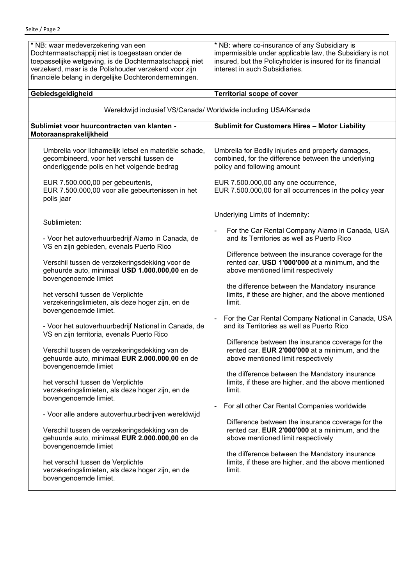| * NB: waar medeverzekering van een<br>Dochtermaatschappij niet is toegestaan onder de<br>toepasselijke wetgeving, is de Dochtermaatschappij niet<br>verzekerd, maar is de Polishouder verzekerd voor zijn<br>financiële belang in dergelijke Dochterondernemingen. | * NB: where co-insurance of any Subsidiary is<br>impermissible under applicable law, the Subsidiary is not<br>insured, but the Policyholder is insured for its financial<br>interest in such Subsidiaries. |  |
|--------------------------------------------------------------------------------------------------------------------------------------------------------------------------------------------------------------------------------------------------------------------|------------------------------------------------------------------------------------------------------------------------------------------------------------------------------------------------------------|--|
| Gebiedsgeldigheid                                                                                                                                                                                                                                                  | <b>Territorial scope of cover</b>                                                                                                                                                                          |  |
| Wereldwijd inclusief VS/Canada/ Worldwide including USA/Kanada                                                                                                                                                                                                     |                                                                                                                                                                                                            |  |
| Sublimiet voor huurcontracten van klanten -<br>Motoraansprakelijkheid                                                                                                                                                                                              | <b>Sublimit for Customers Hires - Motor Liability</b>                                                                                                                                                      |  |
| Umbrella voor lichamelijk letsel en materiële schade,                                                                                                                                                                                                              | Umbrella for Bodily injuries and property damages,                                                                                                                                                         |  |
| gecombineerd, voor het verschil tussen de                                                                                                                                                                                                                          | combined, for the difference between the underlying                                                                                                                                                        |  |
| onderliggende polis en het volgende bedrag                                                                                                                                                                                                                         | policy and following amount                                                                                                                                                                                |  |
| EUR 7.500.000,00 per gebeurtenis,<br>EUR 7.500.000,00 voor alle gebeurtenissen in het<br>polis jaar                                                                                                                                                                | EUR 7.500.000,00 any one occurrence,<br>EUR 7.500.000,00 for all occurrences in the policy year                                                                                                            |  |
| Sublimieten:                                                                                                                                                                                                                                                       | Underlying Limits of Indemnity:                                                                                                                                                                            |  |
| - Voor het autoverhuurbedrijf Alamo in Canada, de                                                                                                                                                                                                                  | For the Car Rental Company Alamo in Canada, USA                                                                                                                                                            |  |
| VS en zijn gebieden, evenals Puerto Rico                                                                                                                                                                                                                           | and its Territories as well as Puerto Rico                                                                                                                                                                 |  |
| Verschil tussen de verzekeringsdekking voor de                                                                                                                                                                                                                     | Difference between the insurance coverage for the                                                                                                                                                          |  |
| gehuurde auto, minimaal USD 1.000.000,00 en de                                                                                                                                                                                                                     | rented car, USD 1'000'000 at a minimum, and the                                                                                                                                                            |  |
| bovengenoemde limiet                                                                                                                                                                                                                                               | above mentioned limit respectively                                                                                                                                                                         |  |
| het verschil tussen de Verplichte                                                                                                                                                                                                                                  | the difference between the Mandatory insurance                                                                                                                                                             |  |
| verzekeringslimieten, als deze hoger zijn, en de                                                                                                                                                                                                                   | limits, if these are higher, and the above mentioned                                                                                                                                                       |  |
| bovengenoemde limiet.                                                                                                                                                                                                                                              | limit.                                                                                                                                                                                                     |  |
| - Voor het autoverhuurbedrijf National in Canada, de                                                                                                                                                                                                               | For the Car Rental Company National in Canada, USA                                                                                                                                                         |  |
| VS en zijn territoria, evenals Puerto Rico                                                                                                                                                                                                                         | and its Territories as well as Puerto Rico                                                                                                                                                                 |  |
| Verschil tussen de verzekeringsdekking van de                                                                                                                                                                                                                      | Difference between the insurance coverage for the                                                                                                                                                          |  |
| gehuurde auto, minimaal EUR 2.000.000,00 en de                                                                                                                                                                                                                     | rented car, EUR 2'000'000 at a minimum, and the                                                                                                                                                            |  |
| bovengenoemde limiet                                                                                                                                                                                                                                               | above mentioned limit respectively                                                                                                                                                                         |  |
| het verschil tussen de Verplichte                                                                                                                                                                                                                                  | the difference between the Mandatory insurance                                                                                                                                                             |  |
| verzekeringslimieten, als deze hoger zijn, en de                                                                                                                                                                                                                   | limits, if these are higher, and the above mentioned                                                                                                                                                       |  |
| bovengenoemde limiet.                                                                                                                                                                                                                                              | limit.                                                                                                                                                                                                     |  |
| - Voor alle andere autoverhuurbedrijven wereldwijd                                                                                                                                                                                                                 | For all other Car Rental Companies worldwide                                                                                                                                                               |  |
| Verschil tussen de verzekeringsdekking van de                                                                                                                                                                                                                      | Difference between the insurance coverage for the                                                                                                                                                          |  |
| gehuurde auto, minimaal EUR 2.000.000,00 en de                                                                                                                                                                                                                     | rented car, EUR 2'000'000 at a minimum, and the                                                                                                                                                            |  |
| bovengenoemde limiet                                                                                                                                                                                                                                               | above mentioned limit respectively                                                                                                                                                                         |  |
| het verschil tussen de Verplichte                                                                                                                                                                                                                                  | the difference between the Mandatory insurance                                                                                                                                                             |  |
| verzekeringslimieten, als deze hoger zijn, en de                                                                                                                                                                                                                   | limits, if these are higher, and the above mentioned                                                                                                                                                       |  |
| bovengenoemde limiet.                                                                                                                                                                                                                                              | limit.                                                                                                                                                                                                     |  |